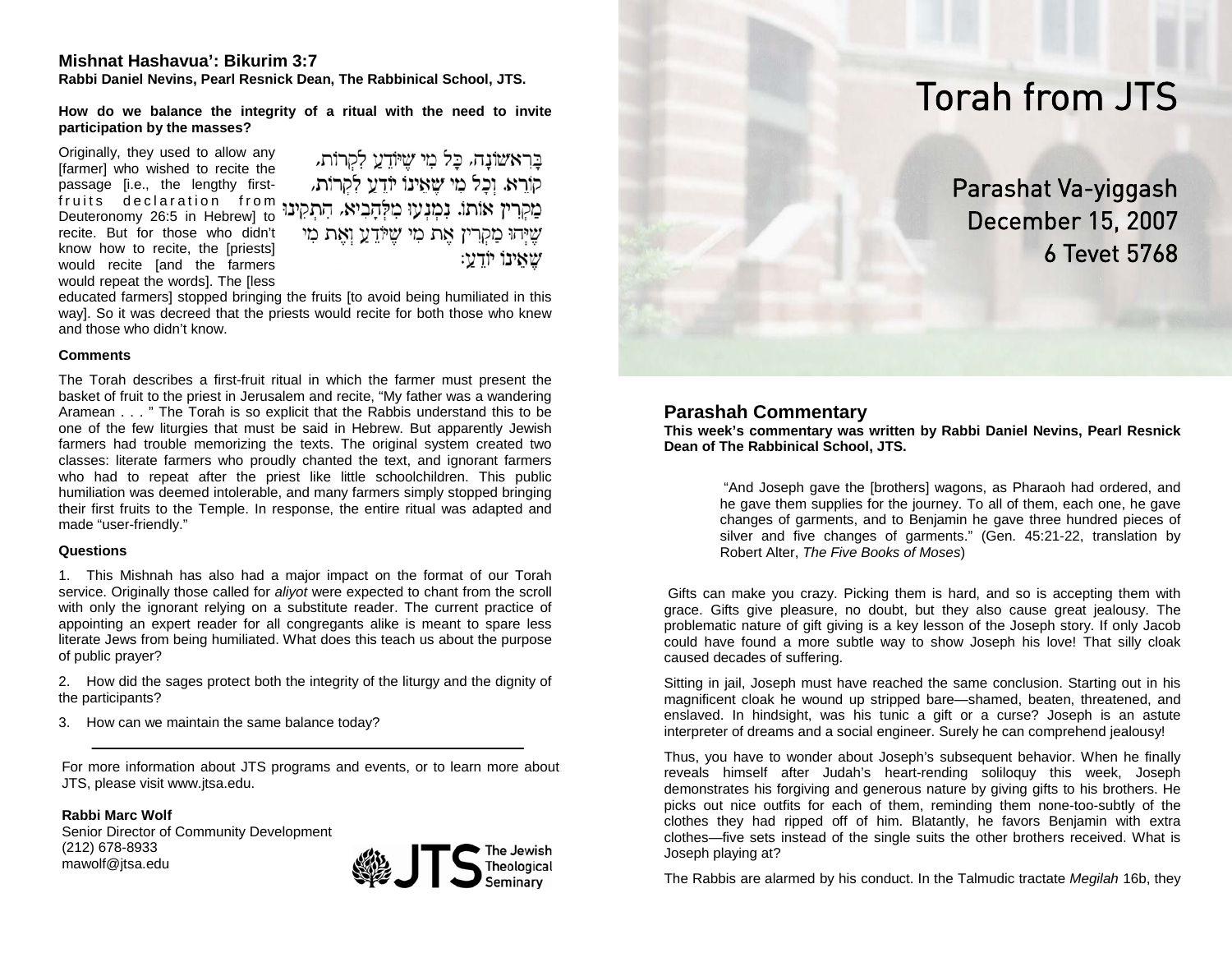## **Mishnat Hashavua': Bikurim 3:7**

**Rabbi Daniel Nevins, Pearl Resnick Dean, The Rabbinical School, JTS.** 

**How do we balance the integrity of a ritual with the need to invite participation by the masses?** 

Originally, they used to allow any [farmer] who wished to recite the passage [i.e., the lengthy firstfruits declaration from<br>Deuteronomy26:5 in Hebrew]to recite. But for those who didn't know how to recite, the [priests] would recite [and the farmers would repeat the words]. The [less

בראשונה, כל מי שיודע לקרות, קורא. וכל מי שאינו יודע לקרות. שֶׁיְהוּ מַקְרִין אֶת מִי שֶׁיּוֹדֵעַ וְאֶת מִי שאינו יודע:

educated farmers] stopped bringing the fruits [to avoid being humiliated in this way]. So it was decreed that the priests would recite for both those who knew and those who didn't know.

### **Comments**

The Torah describes a first-fruit ritual in which the farmer must present the basket of fruit to the priest in Jerusalem and recite, "My father was a wandering Aramean . . . " The Torah is so explicit that the Rabbis understand this to be one of the few liturgies that must be said in Hebrew. But apparently Jewish farmers had trouble memorizing the texts. The original system created two classes: literate farmers who proudly chanted the text, and ignorant farmers who had to repeat after the priest like little schoolchildren. This public humiliation was deemed intolerable, and many farmers simply stopped bringing their first fruits to the Temple. In response, the entire ritual was adapted and made "user-friendly."

## **Questions**

1. This Mishnah has also had a major impact on the format of our Torah service. Originally those called for *aliyot* were expected to chant from the scroll with only the ignorant relying on a substitute reader. The current practice of appointing an expert reader for all congregants alike is meant to spare less literate Jews from being humiliated. What does this teach us about the purpose of public prayer?

2. How did the sages protect both the integrity of the liturgy and the dignity of the participants?

3. How can we maintain the same balance today?

For more information about JTS programs and events, or to learn more about JTS, please visit www.jtsa.edu.

**Rabbi Marc Wolf**Senior Director of Community Development (212) 678-8933 mawolf@jtsa.edu



# Torah from JTS

Parashat Va-yiggash December 15, 2007 6 Tevet 5768

# **Parashah Commentary**

**This week's commentary was written by Rabbi Daniel Nevins, Pearl Resnick Dean of The Rabbinical School, JTS.** 

> "And Joseph gave the [brothers] wagons, as Pharaoh had ordered, and he gave them supplies for the journey. To all of them, each one, he gave changes of garments, and to Benjamin he gave three hundred pieces of silver and five changes of garments." (Gen. 45:21-22, translation by Robert Alter, *The Five Books of Moses*)

 Gifts can make you crazy. Picking them is hard, and so is accepting them with grace. Gifts give pleasure, no doubt, but they also cause great jealousy. The problematic nature of gift giving is a key lesson of the Joseph story. If only Jacob could have found a more subtle way to show Joseph his love! That silly cloak caused decades of suffering.

Sitting in jail, Joseph must have reached the same conclusion. Starting out in his magnificent cloak he wound up stripped bare—shamed, beaten, threatened, and enslaved. In hindsight, was his tunic a gift or a curse? Joseph is an astute interpreter of dreams and a social engineer. Surely he can comprehend jealousy!

Thus, you have to wonder about Joseph's subsequent behavior. When he finally reveals himself after Judah's heart-rending soliloquy this week, Joseph demonstrates his forgiving and generous nature by giving gifts to his brothers. He picks out nice outfits for each of them, reminding them none-too-subtly of the clothes they had ripped off of him. Blatantly, he favors Benjamin with extra clothes—five sets instead of the single suits the other brothers received. What is Joseph playing at?

The Rabbis are alarmed by his conduct. In the Talmudic tractate *Megilah* 16b, they